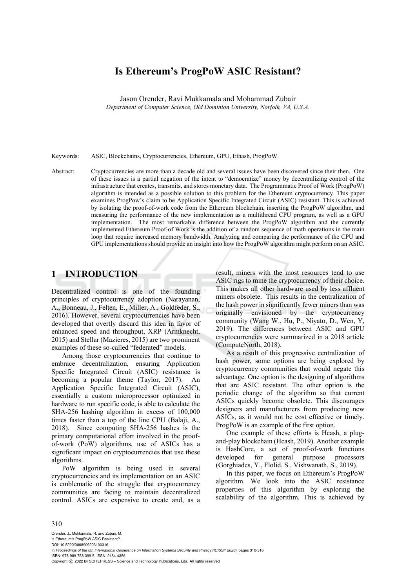# **Is Ethereum's ProgPoW ASIC Resistant?**

Jason Orender, Ravi Mukkamala and Mohammad Zubair

*Department of Computer Science, Old Dominion University, Norfolk, VA, U.S.A.* 

Keywords: ASIC, Blockchains, Cryptocurrencies, Ethereum, GPU, Ethash, ProgPoW.

Abstract: Cryptocurrencies are more than a decade old and several issues have been discovered since their then. One of these issues is a partial negation of the intent to "democratize" money by decentralizing control of the infrastructure that creates, transmits, and stores monetary data. The Programmatic Proof of Work (ProgPoW) algorithm is intended as a possible solution to this problem for the Ethereum cryptocurrency. This paper examines ProgPow's claim to be Application Specific Integrated Circuit (ASIC) resistant. This is achieved by isolating the proof-of-work code from the Ethereum blockchain, inserting the ProgPoW algorithm, and measuring the performance of the new implementation as a multithread CPU program, as well as a GPU implementation. The most remarkable difference between the ProgPoW algorithm and the currently implemented Ethereum Proof-of Work is the addition of a random sequence of math operations in the main loop that require increased memory bandwidth. Analyzing and comparing the performance of the CPU and GPU implementations should provide an insight into how the ProgPoW algorithm might perform on an ASIC.

# **1 INTRODUCTION**

Decentralized control is one of the founding principles of cryptocurrency adoption (Narayanan, A., Bonneau, J., Felten, E., Miller, A., Goldfeder, S., 2016). However, several cryptocurrencies have been developed that overtly discard this idea in favor of enhanced speed and throughput, XRP (Armknecht, 2015) and Stellar (Mazieres, 2015) are two prominent examples of these so-called "federated" models.

Among those cryptocurrencies that continue to embrace decentralization, ensuring Application Specific Integrated Circuit (ASIC) resistance is becoming a popular theme (Taylor, 2017). An Application Specific Integrated Circuit (ASIC), essentially a custom microprocessor optimized in hardware to run specific code, is able to calculate the SHA-256 hashing algorithm in excess of 100,000 times faster than a top of the line CPU (Balaji, A., 2018). Since computing SHA-256 hashes is the primary computational effort involved in the proofof-work (PoW) algorithms, use of ASICs has a significant impact on cryptocurrencies that use these algorithms.

PoW algorithm is being used in several cryptocurrencies and its implementation on an ASIC is emblematic of the struggle that cryptocurrency communities are facing to maintain decentralized control. ASICs are expensive to create and, as a

result, miners with the most resources tend to use ASIC rigs to mine the cryptocurrency of their choice. This makes all other hardware used by less affluent miners obsolete. This results in the centralization of the hash power in significantly fewer miners than was originally envisioned by the cryptocurrency community (Wang W., Hu, P., Niyato, D., Wen, Y, 2019). The differences between ASIC and GPU cryptocurrencies were summarized in a 2018 article (ComputeNorth, 2018).

As a result of this progressive centralization of hash power, some options are being explored by cryptocurrency communities that would negate this advantage. One option is the designing of algorithms that are ASIC resistant. The other option is the periodic change of the algorithm so that current ASICs quickly become obsolete. This discourages designers and manufacturers from producing new ASICs, as it would not be cost effective or timely. ProgPoW is an example of the first option.

One example of these efforts is Hcash, a plugand-play blockchain (Hcash, 2019). Another example is HashCore, a set of proof-of-work functions for general purpose processors (Gorghiades, Y., Flolid, S., Vishwanath, S., 2019).

In this paper, we focus on Ethereum's ProgPoW algorithm. We look into the ASIC resistance properties of this algorithm by exploring the scalability of the algorithm. This is achieved by

#### 310

Orender, J., Mukkamala, R. and Zubair, M. Is Ethereum's ProgPoW ASIC Resistant?. DOI: 10.5220/0008909203100316 In *Proceedings of the 6th International Conference on Information Systems Security and Privacy (ICISSP 2020)*, pages 310-316 ISBN: 978-989-758-399-5; ISSN: 2184-4356 Copyright (C) 2022 by SCITEPRESS - Science and Technology Publications, Lda. All rights reserved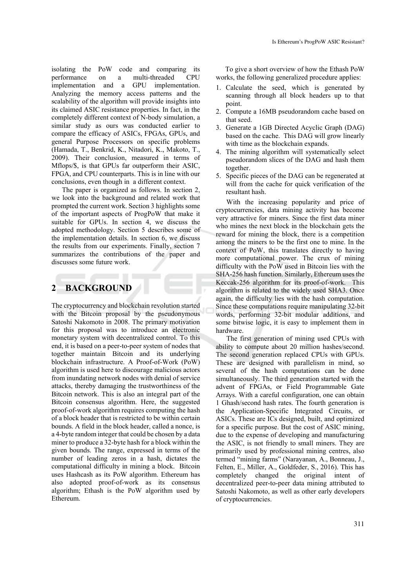isolating the PoW code and comparing its performance on a multi-threaded CPU implementation and a GPU implementation. Analyzing the memory access patterns and the scalability of the algorithm will provide insights into its claimed ASIC resistance properties. In fact, in the completely different context of N-body simulation, a similar study as ours was conducted earlier to compare the efficacy of ASICs, FPGAs, GPUs, and general Purpose Processors on specific problems (Hamada, T., Benkrid, K., Nitadori, K., Makoto, T., 2009). Their conclusion, measured in terms of Mflops/\$, is that GPUs far outperform their ASIC, FPGA, and CPU counterparts. This is in line with our conclusions, even though in a different context.

The paper is organized as follows. In section 2, we look into the background and related work that prompted the current work. Section 3 highlights some of the important aspects of ProgPoW that make it suitable for GPUs. In section 4, we discuss the adopted methodology. Section 5 describes some of the implementation details. In section 6, we discuss the results from our experiments. Finally, section 7 summarizes the contributions of the paper and discusses some future work.

# **2 BACKGROUND**

The cryptocurrency and blockchain revolution started with the Bitcoin proposal by the pseudonymous Satoshi Nakomoto in 2008. The primary motivation for this proposal was to introduce an electronic monetary system with decentralized control. To this end, it is based on a peer-to-peer system of nodes that together maintain Bitcoin and its underlying blockchain infrastructure. A Proof-of-Work (PoW) algorithm is used here to discourage malicious actors from inundating network nodes with denial of service attacks, thereby damaging the trustworthiness of the Bitcoin network. This is also an integral part of the Bitcoin consensus algorithm. Here, the suggested proof-of-work algorithm requires computing the hash of a block header that is restricted to be within certain bounds. A field in the block header, called a nonce, is a 4-byte random integer that could be chosen by a data miner to produce a 32-byte hash for a block within the given bounds. The range, expressed in terms of the number of leading zeros in a hash, dictates the computational difficulty in mining a block. Bitcoin uses Hashcash as its PoW algorithm. Ethereum has also adopted proof-of-work as its consensus algorithm; Ethash is the PoW algorithm used by Ethereum.

To give a short overview of how the Ethash PoW works, the following generalized procedure applies:

- 1. Calculate the seed, which is generated by scanning through all block headers up to that point.
- 2. Compute a 16MB pseudorandom cache based on that seed.
- 3. Generate a 1GB Directed Acyclic Graph (DAG) based on the cache. This DAG will grow linearly with time as the blockchain expands.
- 4. The mining algorithm will systematically select pseudorandom slices of the DAG and hash them together.
- 5. Specific pieces of the DAG can be regenerated at will from the cache for quick verification of the resultant hash.

With the increasing popularity and price of cryptocurrencies, data mining activity has become very attractive for miners. Since the first data miner who mines the next block in the blockchain gets the reward for mining the block, there is a competition among the miners to be the first one to mine. In the context of PoW, this translates directly to having more computational power. The crux of mining difficulty with the PoW used in Bitcoin lies with the SHA-256 hash function. Similarly, Ethereum uses the Keccak-256 algorithm for its proof-of-work. This algorithm is related to the widely used SHA3. Once again, the difficulty lies with the hash computation. Since these computations require manipulating 32-bit words, performing 32-bit modular additions, and some bitwise logic, it is easy to implement them in hardware.

The first generation of mining used CPUs with ability to compute about 20 million hashes/second. The second generation replaced CPUs with GPUs. These are designed with parallelism in mind, so several of the hash computations can be done simultaneously. The third generation started with the advent of FPGAs, or Field Programmable Gate Arrays. With a careful configuration, one can obtain 1 Ghash/second hash rates. The fourth generation is the Application-Specific Integrated Circuits, or ASICs. These are ICs designed, built, and optimized for a specific purpose. But the cost of ASIC mining, due to the expense of developing and manufacturing the ASIC, is not friendly to small miners. They are primarily used by professional mining centres, also termed "mining farms" (Narayanan, A., Bonneau, J., Felten, E., Miller, A., Goldfeder, S., 2016). This has completely changed the original intent of decentralized peer-to-peer data mining attributed to Satoshi Nakomoto, as well as other early developers of cryptocurrencies.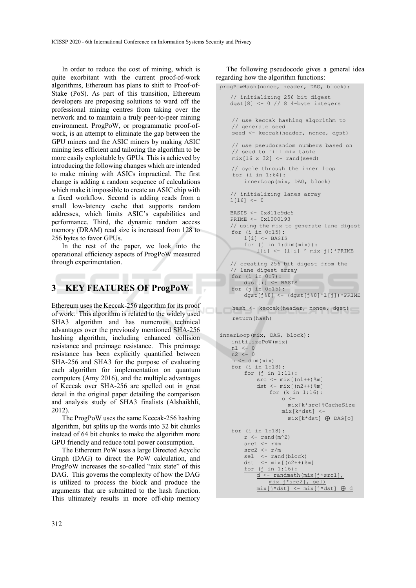In order to reduce the cost of mining, which is quite exorbitant with the current proof-of-work algorithms, Ethereum has plans to shift to Proof-of-Stake (PoS). As part of this transition, Ethereum developers are proposing solutions to ward off the professional mining centres from taking over the network and to maintain a truly peer-to-peer mining environment. ProgPoW, or programmatic proof-ofwork, is an attempt to eliminate the gap between the GPU miners and the ASIC miners by making ASIC mining less efficient and tailoring the algorithm to be more easily exploitable by GPUs. This is achieved by introducing the following changes which are intended to make mining with ASICs impractical. The first change is adding a random sequence of calculations which make it impossible to create an ASIC chip with a fixed workflow. Second is adding reads from a small low-latency cache that supports random addresses, which limits ASIC's capabilities and performance. Third, the dynamic random access memory (DRAM) read size is increased from 128 to 256 bytes to favor GPUs.

In the rest of the paper, we look into the operational efficiency aspects of ProgPoW measured through experimentation.

# **3 KEY FEATURES OF ProgPoW**

Ethereum uses the Keccak-256 algorithm for its proof of work. This algorithm is related to the widely used SHA3 algorithm and has numerous technical advantages over the previously mentioned SHA-256 hashing algorithm, including enhanced collision resistance and preimage resistance. This preimage resistance has been explicitly quantified between SHA-256 and SHA3 for the purpose of evaluating each algorithm for implementation on quantum computers (Amy 2016), and the multiple advantages of Keccak over SHA-256 are spelled out in great detail in the original paper detailing the comparison and analysis study of SHA3 finalists (Alshaikhli, 2012).

The ProgPoW uses the same Keccak-256 hashing algorithm, but splits up the words into 32 bit chunks instead of 64 bit chunks to make the algorithm more GPU friendly and reduce total power consumption.

The Ethereum PoW uses a large Directed Acyclic Graph (DAG) to direct the PoW calculation, and ProgPoW increases the so-called "mix state" of this DAG. This governs the complexity of how the DAG is utilized to process the block and produce the arguments that are submitted to the hash function. This ultimately results in more off-chip memory

The following pseudocode gives a general idea regarding how the algorithm functions:

```
progPowHash(nonce, header, DAG, block): 
   // initializing 256 bit digest 
   dgst[8] <- 0 // 8 4-byte integers
   // use keccak hashing algorithm to 
   // generate seed 
   seed <- keccak(header, nonce, dgst)
   // use pseudorandom numbers based on 
   // seed to fill mix table 
   mix[16 x 32] <- rand(seed)// cycle through the inner loop 
     for (i in 1:64): 
       innerLoop(mix, DAG, block) 
   // initializing lanes array 
   1[16] < -0BASIS <- 0x811c9dc5 
   PRIME <- 0x1000193 
   // using the mix to generate lane digest 
   for (i in 0:15): 
       l[i] <- BASIS 
       for (j in 1:dim(mix)): 
          1[i] <- (1[i] ^ mix[j]) * PRIME// creating 256 bit digest from the 
   // lane digest array 
   for (i in 0:7): 
      dgst[i] <- BASIS 
   for (j in 0:15): 
       dgst[j%8] <- (dgst[j%8]^l[j])*PRIME 
   hash <- keccak(header, nonce, dgst)
    return(hash) 
innerLoop(mix, DAG, block): 
   initilizePoW(mix) 
   n1 < -0n2 <- 0 
   m <- dim(mix)
   for (i in 1:18): 
       for (j in 1:11): 
           src < - \text{mix}[(n1++)\m]
           dst <- mix[(n2++)%m] 
               for (k in 1:16): 
                   \circ \leftarrowmix[k*src]%CacheSize 
                   mix[k*dst] <- 
                     mix[k*dst] ⊕ DAG[o] 
   for (i in 1:18): 
       r <- rand (m^2)
       src1 \leftarrow r%m
       src2 < - r/msel <- rand(block)
       dst <- mix[(n2++)%m] 
       for (j in 1:16): 
           d <- randmath(mix[j*src1], 
               mix[j*src2], sel) 
           mix[j*dst] <- mix[j*dst] ⊕ d
```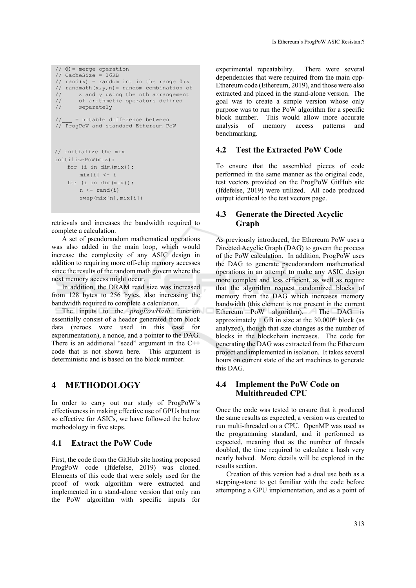```
// \oplus = merge operation
// CacheSize = 16KB 
// rand(x) = random int in the range 0:x// randmath(x, y, n) = random combination of<br>// x and y using the nth arrangement
       x and y using the nth arrangement
// of arithmetic operators defined 
// separately 
      = notable difference between
// ProgPoW and standard Ethereum PoW 
// initialize the mix 
initilizePoW(mix): 
    for (i in dim(mix)): 
       mix[i] <- i 
    for (i in dim(mix)): 
       n \le - rand(i)
        swap(mix[n],mix[i])
```
retrievals and increases the bandwidth required to complete a calculation.

A set of pseudorandom mathematical operations was also added in the main loop, which would increase the complexity of any ASIC design in addition to requiring more off-chip memory accesses since the results of the random math govern where the next memory access might occur.

In addition, the DRAM read size was increased from 128 bytes to 256 bytes, also increasing the bandwidth required to complete a calculation.

The inputs to the *progPowHash* function essentially consist of a header generated from block data (zeroes were used in this case for experimentation), a nonce, and a pointer to the DAG. There is an additional "seed" argument in the C++ code that is not shown here. This argument is deterministic and is based on the block number.

# **4 METHODOLOGY**

In order to carry out our study of ProgPoW's effectiveness in making effective use of GPUs but not so effective for ASICs, we have followed the below methodology in five steps.

### **4.1 Extract the PoW Code**

First, the code from the GitHub site hosting proposed ProgPoW code (Ifdefelse, 2019) was cloned. Elements of this code that were solely used for the proof of work algorithm were extracted and implemented in a stand-alone version that only ran the PoW algorithm with specific inputs for

experimental repeatability. There were several dependencies that were required from the main cpp-Ethereum code (Ethereum, 2019), and those were also extracted and placed in the stand-alone version. The goal was to create a simple version whose only purpose was to run the PoW algorithm for a specific block number. This would allow more accurate analysis of memory access patterns and benchmarking.

### **4.2 Test the Extracted PoW Code**

To ensure that the assembled pieces of code performed in the same manner as the original code, test vectors provided on the ProgPoW GitHub site (Ifdefelse, 2019) were utilized. All code produced output identical to the test vectors page.

### **4.3 Generate the Directed Acyclic Graph**

As previously introduced, the Ethereum PoW uses a Directed Acyclic Graph (DAG) to govern the process of the PoW calculation. In addition, ProgPoW uses the DAG to generate pseudorandom mathematical operations in an attempt to make any ASIC design more complex and less efficient, as well as require that the algorithm request randomized blocks of memory from the DAG which increases memory bandwidth (this element is not present in the current Ethereum PoW algorithm). The DAG is approximately 1 GB in size at the  $30,000$ <sup>th</sup> block (as analyzed), though that size changes as the number of blocks in the blockchain increases. The code for generating the DAG was extracted from the Ethereum project and implemented in isolation. It takes several hours on current state of the art machines to generate this DAG.

### **4.4 Implement the PoW Code on Multithreaded CPU**

Once the code was tested to ensure that it produced the same results as expected, a version was created to run multi-threaded on a CPU. OpenMP was used as the programming standard, and it performed as expected, meaning that as the number of threads doubled, the time required to calculate a hash very nearly halved. More details will be explored in the results section.

Creation of this version had a dual use both as a stepping-stone to get familiar with the code before attempting a GPU implementation, and as a point of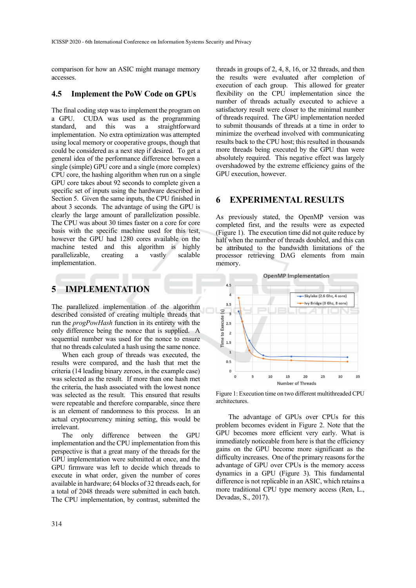comparison for how an ASIC might manage memory accesses.

#### **4.5 Implement the PoW Code on GPUs**

The final coding step was to implement the program on a GPU. CUDA was used as the programming<br>standard, and this was a straightforward standard, and this was a straightforward implementation. No extra optimization was attempted using local memory or cooperative groups, though that could be considered as a next step if desired. To get a general idea of the performance difference between a single (simple) GPU core and a single (more complex) CPU core, the hashing algorithm when run on a single GPU core takes about 92 seconds to complete given a specific set of inputs using the hardware described in Section 5. Given the same inputs, the CPU finished in about 3 seconds. The advantage of using the GPU is clearly the large amount of parallelization possible. The CPU was about 30 times faster on a core for core basis with the specific machine used for this test, however the GPU had 1280 cores available on the machine tested and this algorithm is highly parallelizable, creating a vastly scalable implementation.

# **5 IMPLEMENTATION**

The parallelized implementation of the algorithm described consisted of creating multiple threads that run the *progPowHash* function in its entirety with the only difference being the nonce that is supplied. A sequential number was used for the nonce to ensure that no threads calculated a hash using the same nonce.

When each group of threads was executed, the results were compared, and the hash that met the criteria (14 leading binary zeroes, in the example case) was selected as the result. If more than one hash met the criteria, the hash associated with the lowest nonce was selected as the result. This ensured that results were repeatable and therefore comparable, since there is an element of randomness to this process. In an actual cryptocurrency mining setting, this would be irrelevant.

The only difference between the GPU implementation and the CPU implementation from this perspective is that a great many of the threads for the GPU implementation were submitted at once, and the GPU firmware was left to decide which threads to execute in what order, given the number of cores available in hardware; 64 blocks of 32 threads each, for a total of 2048 threads were submitted in each batch. The CPU implementation, by contrast, submitted the

threads in groups of 2, 4, 8, 16, or 32 threads, and then the results were evaluated after completion of execution of each group. This allowed for greater flexibility on the CPU implementation since the number of threads actually executed to achieve a satisfactory result were closer to the minimal number of threads required. The GPU implementation needed to submit thousands of threads at a time in order to minimize the overhead involved with communicating results back to the CPU host; this resulted in thousands more threads being executed by the GPU than were absolutely required. This negative effect was largely overshadowed by the extreme efficiency gains of the GPU execution, however.

### **6 EXPERIMENTAL RESULTS**

As previously stated, the OpenMP version was completed first, and the results were as expected (Figure 1). The execution time did not quite reduce by half when the number of threads doubled, and this can be attributed to the bandwidth limitations of the processor retrieving DAG elements from main memory.



Figure 1: Execution time on two different multithreaded CPU architectures.

The advantage of GPUs over CPUs for this problem becomes evident in Figure 2. Note that the GPU becomes more efficient very early. What is immediately noticeable from here is that the efficiency gains on the GPU become more significant as the difficulty increases. One of the primary reasons for the advantage of GPU over CPUs is the memory access dynamics in a GPU (Figure 3). This fundamental difference is not replicable in an ASIC, which retains a more traditional CPU type memory access (Ren, L., Devadas, S., 2017).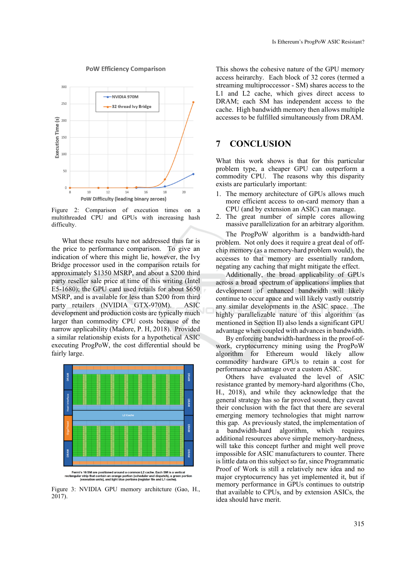#### **PoW Efficiency Comparison**



Figure 2: Comparison of execution times on a multithreaded CPU and GPUs with increasing hash difficulty.

What these results have not addressed thus far is the price to performance comparison. To give an indication of where this might lie, however, the Ivy Bridge processor used in the comparison retails for approximately \$1350 MSRP, and about a \$200 third party reseller sale price at time of this writing (Intel E5-1680); the GPU card used retails for about \$650 MSRP, and is available for less than \$200 from third party retailers (NVIDIA GTX-970M). ASIC development and production costs are typically much larger than commodity CPU costs because of the narrow applicability (Madore, P. H, 2018). Provided a similar relationship exists for a hypothetical ASIC executing ProgPoW, the cost differential should be fairly large.



Fermi's 16 SM are positioned around a common L2 cache. Each SM is a ver<br>angular strip that contain an orange portion (scheduler and dispatch), a gree<br>(execution units), and light blue portions (register file and L1 cache).

Figure 3: NVIDIA GPU memory architcture (Gao, H., 2017).

This shows the cohesive nature of the GPU memory access heirarchy. Each block of 32 cores (termed a streaming multiproccessor - SM) shares access to the L1 and L2 cache, which gives direct access to DRAM; each SM has independent access to the cache. High bandwidth memory then allows multiple accesses to be fulfilled simultaneously from DRAM.

# **7 CONCLUSION**

What this work shows is that for this particular problem type, a cheaper GPU can outperform a commodity CPU. The reasons why this disparity exists are particularly important:

- 1. The memory architecture of GPUs allows much more efficient access to on-card memory than a CPU (and by extension an ASIC) can manage.
- 2. The great number of simple cores allowing massive parallelization for an arbitrary algorithm.

The ProgPoW algorithm is a bandwidth-hard problem. Not only does it require a great deal of offchip memory (as a memory-hard problem would), the accesses to that memory are essentially random, negating any caching that might mitigate the effect.

Additionally, the broad applicability of GPUs across a broad spectrum of applications implies that development of enhanced bandwidth will likely continue to occur apace and will likely vastly outstrip any similar developments in the ASIC space. The highly parallelizable nature of this algorithm (as mentioned in Section II) also lends a significant GPU advantage when coupled with advances in bandwidth.

By enforcing bandwidth-hardness in the proof-ofwork, cryptocurrency mining using the ProgPoW algorithm for Ethereum would likely allow commodity hardware GPUs to retain a cost for performance advantage over a custom ASIC.

Others have evaluated the level of ASIC resistance granted by memory-hard algorithms (Cho, H., 2018), and while they acknowledge that the general strategy has so far proved sound, they caveat their conclusion with the fact that there are several emerging memory technologies that might narrow this gap. As previously stated, the implementation of a bandwidth-hard algorithm, which requires additional resources above simple memory-hardness, will take this concept further and might well prove impossible for ASIC manufacturers to counter. There is little data on this subject so far, since Programmatic Proof of Work is still a relatively new idea and no major cryptocurrency has yet implemented it, but if memory performance in GPUs continues to outstrip that available to CPUs, and by extension ASICs, the idea should have merit.